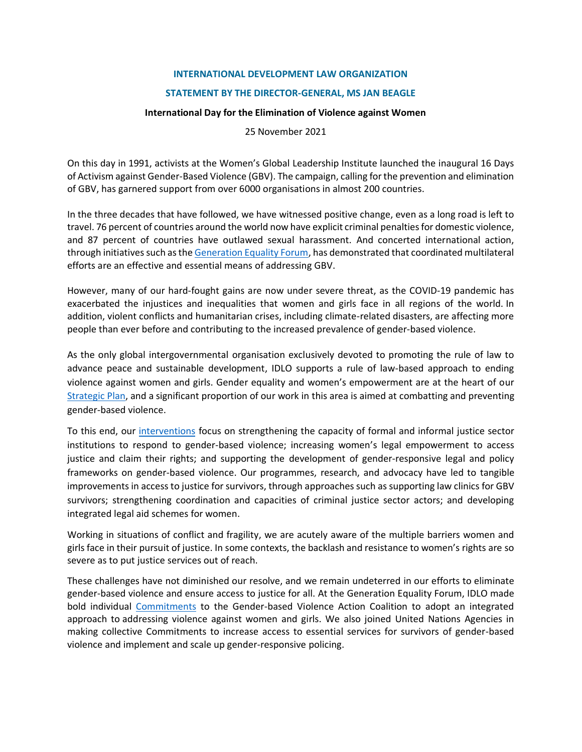## **INTERNATIONAL DEVELOPMENT LAW ORGANIZATION**

## **STATEMENT BY THE DIRECTOR-GENERAL, MS JAN BEAGLE**

## **International Day for the Elimination of Violence against Women**

25 November 2021

On this day in 1991, activists at the Women's Global Leadership Institute launched the inaugural 16 Days of Activism against Gender-Based Violence (GBV). The campaign, calling for the prevention and elimination of GBV, has garnered support from over 6000 organisations in almost 200 countries.

In the three decades that have followed, we have witnessed positive change, even as a long road is left to travel. 76 percent of countries around the world now have explicit criminal penalties for domestic violence, and 87 percent of countries have outlawed sexual harassment. And concerted international action, through initiatives such as the [Generation Equality Forum,](https://forum.generationequality.org/home) has demonstrated that coordinated multilateral efforts are an effective and essential means of addressing GBV.

However, many of our hard-fought gains are now under severe threat, as the COVID-19 pandemic has exacerbated the injustices and inequalities that women and girls face in all regions of the world. In addition, violent conflicts and humanitarian crises, including climate-related disasters, are affecting more people than ever before and contributing to the increased prevalence of gender-based violence.

As the only global intergovernmental organisation exclusively devoted to promoting the rule of law to advance peace and sustainable development, IDLO supports a rule of law-based approach to ending violence against women and girls. Gender equality and women's empowerment are at the heart of our [Strategic Plan,](https://www.idlo.int/sites/default/files/documents/idlo_strategic-plan-2021-2024_english_web.pdf) and a significant proportion of our work in this area is aimed at combatting and preventing gender-based violence.

To this end, our [interventions](https://www.idlo.int/fr/news/story/shadow-pandemic-addressing-gender-based-violence-during-covid-19) focus on strengthening the capacity of formal and informal justice sector institutions to respond to gender-based violence; increasing women's legal empowerment to access justice and claim their rights; and supporting the development of gender-responsive legal and policy frameworks on gender-based violence. Our programmes, research, and advocacy have led to tangible improvements in access to justice for survivors, through approaches such as supporting law clinics for GBV survivors; strengthening coordination and capacities of criminal justice sector actors; and developing integrated legal aid schemes for women.

Working in situations of conflict and fragility, we are acutely aware of the multiple barriers women and girls face in their pursuit of justice. In some contexts, the backlash and resistance to women's rights are so severe as to put justice services out of reach.

These challenges have not diminished our resolve, and we remain undeterred in our efforts to eliminate gender-based violence and ensure access to justice for all. At the Generation Equality Forum, IDLO made bold individual [Commitments](https://www.idlo.int/news/highlights/idlo-commitment-generation-equality-action-coalitions) to the Gender-based Violence Action Coalition to adopt an integrated approach to addressing violence against women and girls. We also joined United Nations Agencies in making collective Commitments to increase access to essential services for survivors of gender-based violence and implement and scale up gender-responsive policing.